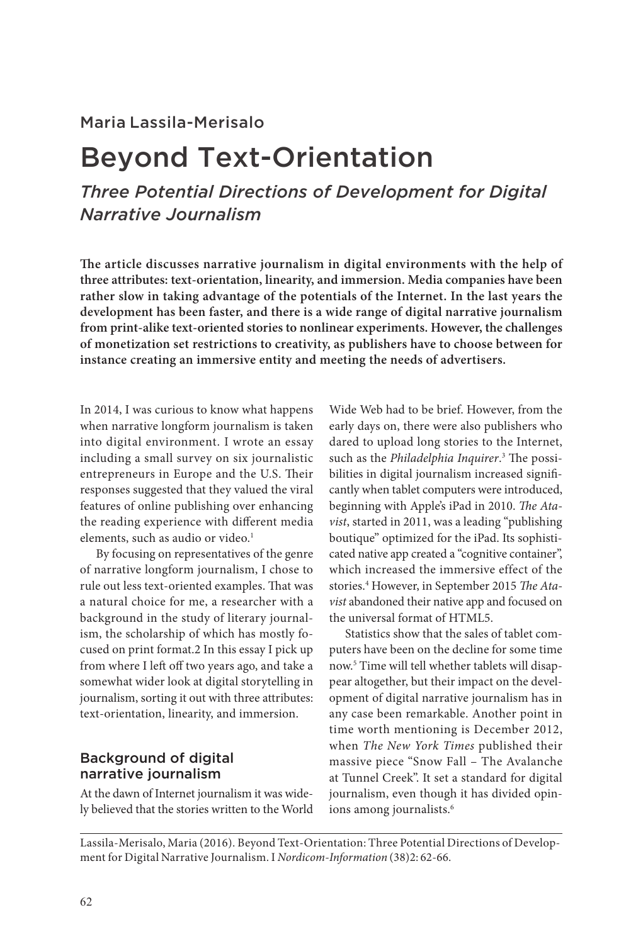Maria Lassila-Merisalo

# Beyond Text-Orientation

*Three Potential Directions of Development for Digital Narrative Journalism*

**The article discusses narrative journalism in digital environments with the help of three attributes: text-orientation, linearity, and immersion. Media companies have been rather slow in taking advantage of the potentials of the Internet. In the last years the development has been faster, and there is a wide range of digital narrative journalism from print-alike text-oriented stories to nonlinear experiments. However, the challenges of monetization set restrictions to creativity, as publishers have to choose between for instance creating an immersive entity and meeting the needs of advertisers.**

In 2014, I was curious to know what happens when narrative longform journalism is taken into digital environment. I wrote an essay including a small survey on six journalistic entrepreneurs in Europe and the U.S. Their responses suggested that they valued the viral features of online publishing over enhancing the reading experience with different media elements, such as audio or video.<sup>1</sup>

By focusing on representatives of the genre of narrative longform journalism, I chose to rule out less text-oriented examples. That was a natural choice for me, a researcher with a background in the study of literary journalism, the scholarship of which has mostly focused on print format.2 In this essay I pick up from where I left off two years ago, and take a somewhat wider look at digital storytelling in journalism, sorting it out with three attributes: text-orientation, linearity, and immersion.

### Background of digital narrative journalism

At the dawn of Internet journalism it was widely believed that the stories written to the World Wide Web had to be brief. However, from the early days on, there were also publishers who dared to upload long stories to the Internet, such as the *Philadelphia Inquirer*. 3 The possibilities in digital journalism increased significantly when tablet computers were introduced, beginning with Apple's iPad in 2010. *The Atavist*, started in 2011, was a leading "publishing boutique" optimized for the iPad. Its sophisticated native app created a "cognitive container", which increased the immersive effect of the stories.4 However, in September 2015 *The Atavist* abandoned their native app and focused on the universal format of HTML5.

Statistics show that the sales of tablet computers have been on the decline for some time now.5 Time will tell whether tablets will disappear altogether, but their impact on the development of digital narrative journalism has in any case been remarkable. Another point in time worth mentioning is December 2012, when *The New York Times* published their massive piece "Snow Fall – The Avalanche at Tunnel Creek". It set a standard for digital journalism, even though it has divided opinions among journalists.<sup>6</sup>

Lassila-Merisalo, Maria (2016). Beyond Text-Orientation: Three Potential Directions of Development for Digital Narrative Journalism. I *Nordicom-Information* (38)2: 62-66.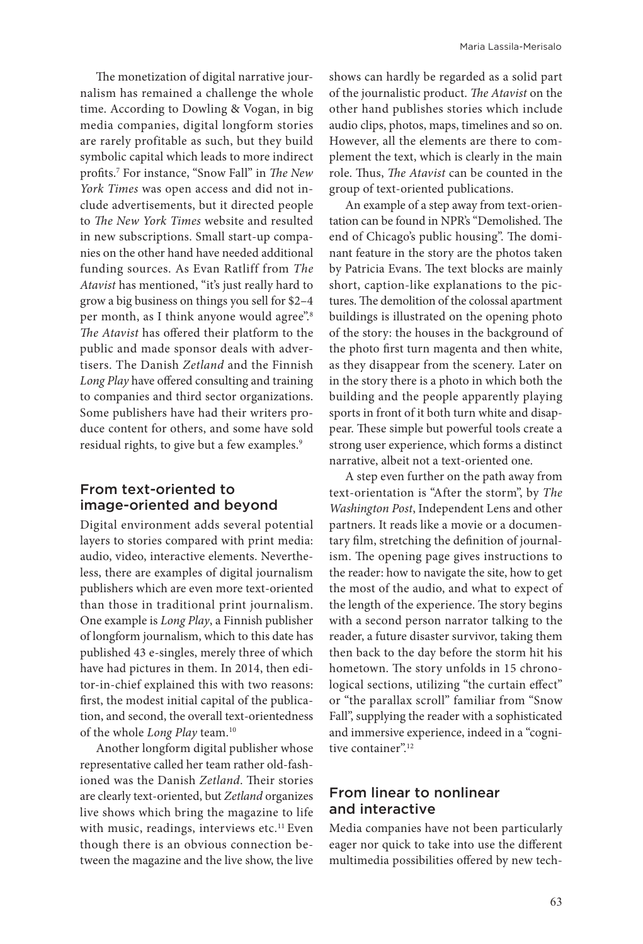The monetization of digital narrative journalism has remained a challenge the whole time. According to Dowling & Vogan, in big media companies, digital longform stories are rarely profitable as such, but they build symbolic capital which leads to more indirect profits.7 For instance, "Snow Fall" in *The New York Times* was open access and did not include advertisements, but it directed people to *The New York Times* website and resulted in new subscriptions. Small start-up companies on the other hand have needed additional funding sources. As Evan Ratliff from *The Atavist* has mentioned, "it's just really hard to grow a big business on things you sell for \$2–4 per month, as I think anyone would agree".<sup>8</sup> *The Atavist* has offered their platform to the public and made sponsor deals with advertisers. The Danish *Zetland* and the Finnish *Long Play* have offered consulting and training to companies and third sector organizations. Some publishers have had their writers produce content for others, and some have sold residual rights, to give but a few examples.<sup>9</sup>

### From text-oriented to image-oriented and beyond

Digital environment adds several potential layers to stories compared with print media: audio, video, interactive elements. Nevertheless, there are examples of digital journalism publishers which are even more text-oriented than those in traditional print journalism. One example is *Long Play*, a Finnish publisher of longform journalism, which to this date has published 43 e-singles, merely three of which have had pictures in them. In 2014, then editor-in-chief explained this with two reasons: first, the modest initial capital of the publication, and second, the overall text-orientedness of the whole *Long Play* team.10

Another longform digital publisher whose representative called her team rather old-fashioned was the Danish *Zetland*. Their stories are clearly text-oriented, but *Zetland* organizes live shows which bring the magazine to life with music, readings, interviews etc.<sup>11</sup> Even though there is an obvious connection between the magazine and the live show, the live shows can hardly be regarded as a solid part of the journalistic product. *The Atavist* on the other hand publishes stories which include audio clips, photos, maps, timelines and so on. However, all the elements are there to complement the text, which is clearly in the main role. Thus, *The Atavist* can be counted in the group of text-oriented publications.

An example of a step away from text-orientation can be found in NPR's "Demolished. The end of Chicago's public housing". The dominant feature in the story are the photos taken by Patricia Evans. The text blocks are mainly short, caption-like explanations to the pictures. The demolition of the colossal apartment buildings is illustrated on the opening photo of the story: the houses in the background of the photo first turn magenta and then white, as they disappear from the scenery. Later on in the story there is a photo in which both the building and the people apparently playing sports in front of it both turn white and disappear. These simple but powerful tools create a strong user experience, which forms a distinct narrative, albeit not a text-oriented one.

A step even further on the path away from text-orientation is "After the storm", by *The Washington Post*, Independent Lens and other partners. It reads like a movie or a documentary film, stretching the definition of journalism. The opening page gives instructions to the reader: how to navigate the site, how to get the most of the audio, and what to expect of the length of the experience. The story begins with a second person narrator talking to the reader, a future disaster survivor, taking them then back to the day before the storm hit his hometown. The story unfolds in 15 chronological sections, utilizing "the curtain effect" or "the parallax scroll" familiar from "Snow Fall", supplying the reader with a sophisticated and immersive experience, indeed in a "cognitive container".<sup>12</sup>

### From linear to nonlinear and interactive

Media companies have not been particularly eager nor quick to take into use the different multimedia possibilities offered by new tech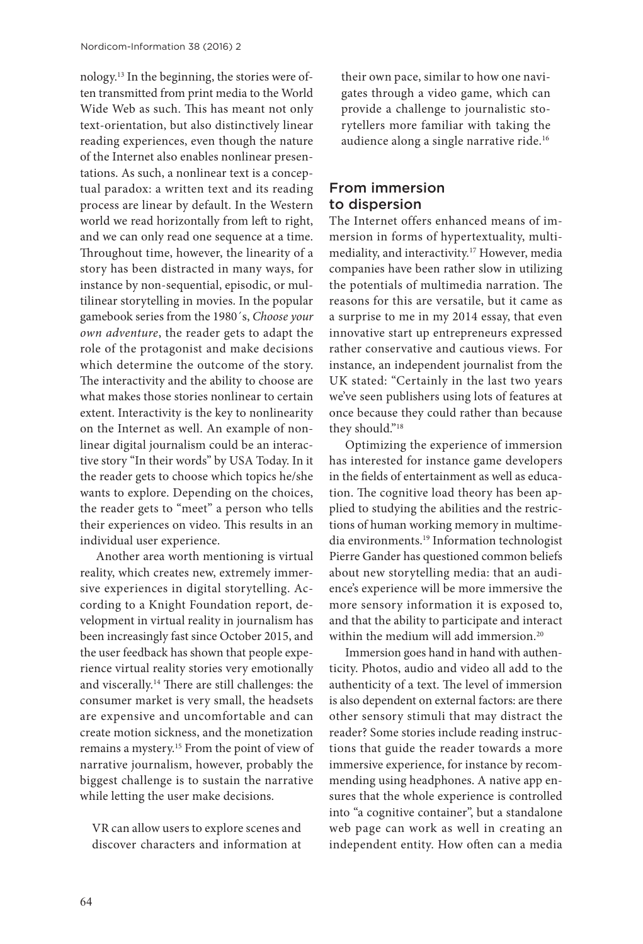nology.13 In the beginning, the stories were often transmitted from print media to the World Wide Web as such. This has meant not only text-orientation, but also distinctively linear reading experiences, even though the nature of the Internet also enables nonlinear presentations. As such, a nonlinear text is a conceptual paradox: a written text and its reading process are linear by default. In the Western world we read horizontally from left to right, and we can only read one sequence at a time. Throughout time, however, the linearity of a story has been distracted in many ways, for instance by non-sequential, episodic, or multilinear storytelling in movies. In the popular gamebook series from the 1980´s, *Choose your own adventure*, the reader gets to adapt the role of the protagonist and make decisions which determine the outcome of the story. The interactivity and the ability to choose are what makes those stories nonlinear to certain extent. Interactivity is the key to nonlinearity on the Internet as well. An example of nonlinear digital journalism could be an interactive story "In their words" by USA Today. In it the reader gets to choose which topics he/she wants to explore. Depending on the choices, the reader gets to "meet" a person who tells their experiences on video. This results in an individual user experience.

Another area worth mentioning is virtual reality, which creates new, extremely immersive experiences in digital storytelling. According to a Knight Foundation report, development in virtual reality in journalism has been increasingly fast since October 2015, and the user feedback has shown that people experience virtual reality stories very emotionally and viscerally.14 There are still challenges: the consumer market is very small, the headsets are expensive and uncomfortable and can create motion sickness, and the monetization remains a mystery.15 From the point of view of narrative journalism, however, probably the biggest challenge is to sustain the narrative while letting the user make decisions.

VR can allow users to explore scenes and discover characters and information at

their own pace, similar to how one navigates through a video game, which can provide a challenge to journalistic storytellers more familiar with taking the audience along a single narrative ride.16

## From immersion to dispersion

The Internet offers enhanced means of immersion in forms of hypertextuality, multimediality, and interactivity.17 However, media companies have been rather slow in utilizing the potentials of multimedia narration. The reasons for this are versatile, but it came as a surprise to me in my 2014 essay, that even innovative start up entrepreneurs expressed rather conservative and cautious views. For instance, an independent journalist from the UK stated: "Certainly in the last two years we've seen publishers using lots of features at once because they could rather than because they should."18

Optimizing the experience of immersion has interested for instance game developers in the fields of entertainment as well as education. The cognitive load theory has been applied to studying the abilities and the restrictions of human working memory in multimedia environments.<sup>19</sup> Information technologist Pierre Gander has questioned common beliefs about new storytelling media: that an audience's experience will be more immersive the more sensory information it is exposed to, and that the ability to participate and interact within the medium will add immersion.<sup>20</sup>

Immersion goes hand in hand with authenticity. Photos, audio and video all add to the authenticity of a text. The level of immersion is also dependent on external factors: are there other sensory stimuli that may distract the reader? Some stories include reading instructions that guide the reader towards a more immersive experience, for instance by recommending using headphones. A native app ensures that the whole experience is controlled into "a cognitive container", but a standalone web page can work as well in creating an independent entity. How often can a media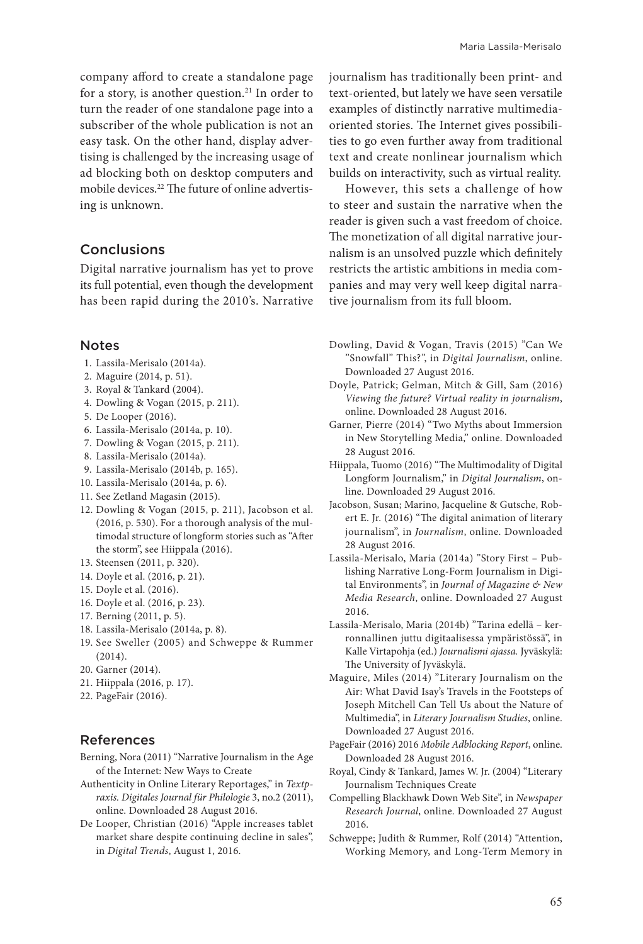company afford to create a standalone page for a story, is another question.<sup>21</sup> In order to turn the reader of one standalone page into a subscriber of the whole publication is not an easy task. On the other hand, display advertising is challenged by the increasing usage of ad blocking both on desktop computers and mobile devices.22 The future of online advertising is unknown.

#### Conclusions

Digital narrative journalism has yet to prove its full potential, even though the development has been rapid during the 2010's. Narrative

#### Notes

- 1. Lassila-Merisalo (2014a).
- 2. Maguire (2014, p. 51).
- 3. Royal & Tankard (2004).
- 4. Dowling & Vogan (2015, p. 211).
- 5. De Looper (2016).
- 6. Lassila-Merisalo (2014a, p. 10).
- 7. Dowling & Vogan (2015, p. 211).
- 8. Lassila-Merisalo (2014a).
- 9. Lassila-Merisalo (2014b, p. 165).
- 10. Lassila-Merisalo (2014a, p. 6).
- 11. See Zetland Magasin (2015).
- 12. Dowling & Vogan (2015, p. 211), Jacobson et al. (2016, p. 530). For a thorough analysis of the multimodal structure of longform stories such as "After the storm", see Hiippala (2016).
- 13. Steensen (2011, p. 320).
- 14. Doyle et al. (2016, p. 21).
- 15. Doyle et al. (2016).
- 16. Doyle et al. (2016, p. 23).
- 17. Berning (2011, p. 5).
- 18. Lassila-Merisalo (2014a, p. 8).
- 19. See Sweller (2005) and Schweppe & Rummer (2014).
- 20. Garner (2014).
- 21. Hiippala (2016, p. 17).
- 22. PageFair (2016).

#### References

- Berning, Nora (2011) "Narrative Journalism in the Age of the Internet: New Ways to Create
- Authenticity in Online Literary Reportages," in *Textpraxis. Digitales Journal für Philologie* 3, no.2 (2011), online. Downloaded 28 August 2016.
- De Looper, Christian (2016) "Apple increases tablet market share despite continuing decline in sales", in *Digital Trends*, August 1, 2016.

journalism has traditionally been print- and text-oriented, but lately we have seen versatile examples of distinctly narrative multimediaoriented stories. The Internet gives possibilities to go even further away from traditional text and create nonlinear journalism which builds on interactivity, such as virtual reality.

However, this sets a challenge of how to steer and sustain the narrative when the reader is given such a vast freedom of choice. The monetization of all digital narrative journalism is an unsolved puzzle which definitely restricts the artistic ambitions in media companies and may very well keep digital narrative journalism from its full bloom.

- Dowling, David & Vogan, Travis (2015) "Can We "Snowfall" This?", in *Digital Journalism*, online. Downloaded 27 August 2016.
- Doyle, Patrick; Gelman, Mitch & Gill, Sam (2016) *Viewing the future? Virtual reality in journalism*, online. Downloaded 28 August 2016.
- Garner, Pierre (2014) "Two Myths about Immersion in New Storytelling Media," online. Downloaded 28 August 2016.
- Hiippala, Tuomo (2016) "The Multimodality of Digital Longform Journalism," in *Digital Journalism*, online. Downloaded 29 August 2016.
- Jacobson, Susan; Marino, Jacqueline & Gutsche, Robert E. Jr. (2016) "The digital animation of literary journalism", in *Journalism*, online. Downloaded 28 August 2016.
- Lassila-Merisalo, Maria (2014a) "Story First Publishing Narrative Long-Form Journalism in Digital Environments", in *Journal of Magazine & New Media Research*, online. Downloaded 27 August 2016.
- Lassila-Merisalo, Maria (2014b) "Tarina edellä kerronnallinen juttu digitaalisessa ympäristössä", in Kalle Virtapohja (ed.) *Journalismi ajassa.* Jyväskylä: The University of Jyväskylä.
- Maguire, Miles (2014) "Literary Journalism on the Air: What David Isay's Travels in the Footsteps of Joseph Mitchell Can Tell Us about the Nature of Multimedia", in *Literary Journalism Studies*, online. Downloaded 27 August 2016.
- PageFair (2016) 2016 *Mobile Adblocking Report*, online. Downloaded 28 August 2016.
- Royal, Cindy & Tankard, James W. Jr. (2004) "Literary Journalism Techniques Create
- Compelling Blackhawk Down Web Site", in *Newspaper Research Journal*, online. Downloaded 27 August 2016.
- Schweppe; Judith & Rummer, Rolf (2014) "Attention, Working Memory, and Long-Term Memory in